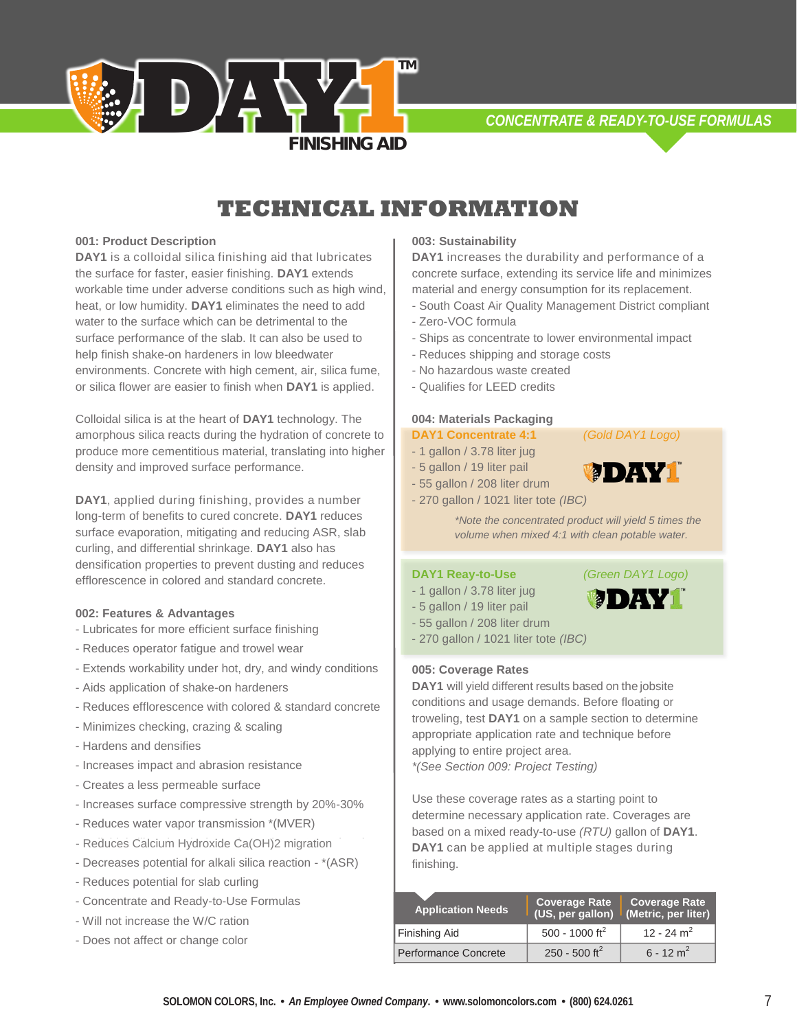*CONCENTRATE & READY-TO-USE FORMULAS*

# *\*Subject to change. Contact Solomon Colors/Brickform for most up-to-date information*  **TECHNICAL INFORMATION**

**TM**

**FINISHING AID** 

## **001: Product Description**

**DAY1** is a colloidal silica finishing aid that lubricates the surface for faster, easier finishing. **DAY1** extends workable time under adverse conditions such as high wind, heat, or low humidity. **DAY1** eliminates the need to add water to the surface which can be detrimental to the surface performance of the slab. It can also be used to help finish shake-on hardeners in low bleedwater environments. Concrete with high cement, air, silica fume, or silica flower are easier to finish when **DAY1** is applied.

**D**  $\overline{Y}$   $\uparrow$ 

Colloidal silica is at the heart of **DAY1** technology. The amorphous silica reacts during the hydration of concrete to produce more cementitious material, translating into higher density and improved surface performance.

**DAY1**, applied during finishing, provides a number long-term of benefits to cured concrete. **DAY1** reduces surface evaporation, mitigating and reducing ASR, slab curling, and differential shrinkage. **DAY1** also has densification properties to prevent dusting and reduces efflorescence in colored and standard concrete.

## **002: Features & Advantages**

- Lubricates for more efficient surface finishing
- Reduces operator fatigue and trowel wear
- Extends workability under hot, dry, and windy conditions
- Aids application of shake-on hardeners
- Reduces efflorescence with colored & standard concrete
- Minimizes checking, crazing & scaling
- Hardens and densifies
- Increases impact and abrasion resistance
- Creates a less permeable surface
- Increases surface compressive strength by 20%-30%
- Reduces water vapor transmission \*(MVER)
- Reduces Calcium Hydroxide Ca(OH)2 migration
- Decreases potential for alkali silica reaction \*(ASR)
- Reduces potential for slab curling
- Concentrate and Ready-to-Use Formulas
- Will not increase the W/C ration
- Does not affect or change color

#### **003: Sustainability**

**DAY1** increases the durability and performance of a concrete surface, extending its service life and minimizes material and energy consumption for its replacement.

- South Coast Air Quality Management District compliant - Zero-VOC formula
- Ships as concentrate to lower environmental impact
- Reduces shipping and storage costs
- No hazardous waste created
- Qualifies for LEED credits

## **004: Materials Packaging**

## **DAY1 Concentrate 4:1** *(Gold DAY1 Logo)*

- 1 gallon / 3.78 liter jug
- 5 gallon / 19 liter pail
- 55 gallon / 208 liter drum
- 270 gallon / 1021 liter tote *(IBC)*

*\*Note the concentrated product will yield 5 times the volume when mixed 4:1 with clean potable water.*

#### **DAY1 Reay-to-Use** *(Green DAY1 Logo)*

- 1 gallon / 3.78 liter jug
- 5 gallon / 19 liter pail
- 55 gallon / 208 liter drum
- 270 gallon / 1021 liter tote *(IBC)*

#### **005: Coverage Rates**

**DAY1** will yield different results based on the jobsite conditions and usage demands. Before floating or troweling, test **DAY1** on a sample section to determine appropriate application rate and technique before applying to entire project area.

*\*(See Section 009: Project Testing)*

Use these coverage rates as a starting point to determine necessary application rate. Coverages are based on a mixed ready-to-use *(RTU)* gallon of **DAY1**. **DAY1** can be applied at multiple stages during finishing.

| <b>Application Needs</b> | Coverage Rate<br>(US, per gallon) (Metric, per liter) | <b>Coverage Rate</b>    |
|--------------------------|-------------------------------------------------------|-------------------------|
| Finishing Aid            | 500 - 1000 ft <sup>2</sup>                            | 12 - 24 $m2$            |
| Performance Concrete     | 250 - 500 ft <sup>2</sup>                             | $6 - 12$ m <sup>2</sup> |



**MEDIANAL** 

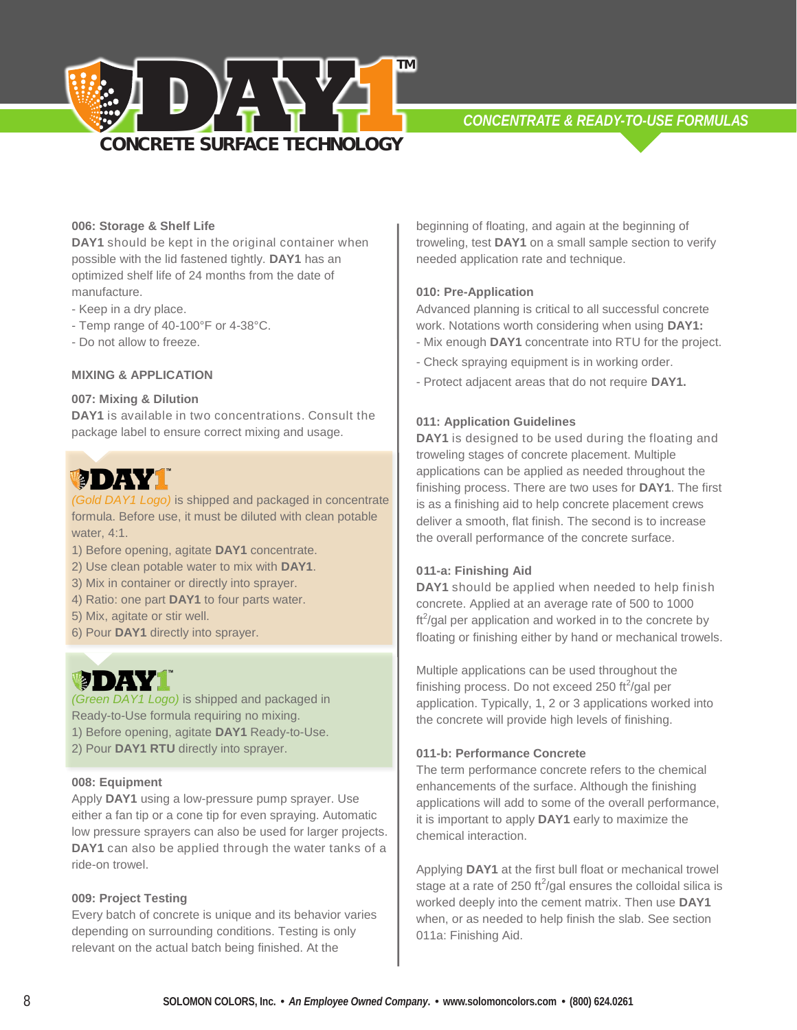

## **006: Storage & Shelf Life**

**DAY1** should be kept in the original container when possible with the lid fastened tightly. **DAY1** has an optimized shelf life of 24 months from the date of manufacture.

- Keep in a dry place.
- Temp range of 40-100°F or 4-38°C.
- Do not allow to freeze.

## **MIXING & APPLICATION**

## **007: Mixing & Dilution**

**DAY1** is available in two concentrations. Consult the package label to ensure correct mixing and usage.

# **MODELY**

*(Gold DAY1 Logo)* is shipped and packaged in concentrate formula. Before use, it must be diluted with clean potable water, 4:1.

- 1) Before opening, agitate **DAY1** concentrate.
- 2) Use clean potable water to mix with **DAY1**.
- 3) Mix in container or directly into sprayer.
- 4) Ratio: one part **DAY1** to four parts water.
- 5) Mix, agitate or stir well.
- 6) Pour **DAY1** directly into sprayer.

# **MD 7454**

*(Green DAY1 Logo)* is shipped and packaged in Ready-to-Use formula requiring no mixing. 1) Before opening, agitate **DAY1** Ready-to-Use.

2) Pour **DAY1 RTU** directly into sprayer.

## **008: Equipment**

Apply **DAY1** using a low-pressure pump sprayer. Use either a fan tip or a cone tip for even spraying. Automatic low pressure sprayers can also be used for larger projects. **DAY1** can also be applied through the water tanks of a ride-on trowel.

#### **009: Project Testing**

Every batch of concrete is unique and its behavior varies depending on surrounding conditions. Testing is only relevant on the actual batch being finished. At the

beginning of floating, and again at the beginning of troweling, test **DAY1** on a small sample section to verify needed application rate and technique.

## **010: Pre-Application**

Advanced planning is critical to all successful concrete work. Notations worth considering when using **DAY1:** - Mix enough **DAY1** concentrate into RTU for the project.

- Check spraying equipment is in working order.
- Protect adjacent areas that do not require **DAY1.**

#### **011: Application Guidelines**

**DAY1** is designed to be used during the floating and troweling stages of concrete placement. Multiple applications can be applied as needed throughout the finishing process. There are two uses for **DAY1**. The first is as a finishing aid to help concrete placement crews deliver a smooth, flat finish. The second is to increase the overall performance of the concrete surface.

#### **001-a: Finishing Aid 1**

**DAY1** should be applied when needed to help finish concrete. Applied at an average rate of 500 to 1000  $\text{ft}^2$ /gal per application and worked in to the concrete by floating or finishing either by hand or mechanical trowels.

Multiple applications can be used throughout the finishing process. Do not exceed 250 ft $\frac{2}{9}$ al per application. Typically, 1, 2 or 3 applications worked into the concrete will provide high levels of finishing.

## **011-b: Performance Concrete**

The term performance concrete refers to the chemical enhancements of the surface. Although the finishing applications will add to some of the overall performance, it is important to apply **DAY1** early to maximize the chemical interaction.

Applying **DAY1** at the first bull float or mechanical trowel stage at a rate of 250 ft $\frac{250 \text{ ft}^2}{\text{gal}}$  ensures the colloidal silica is worked deeply into the cement matrix. Then use **DAY1** when, or as needed to help finish the slab. See section 011a: Finishing Aid.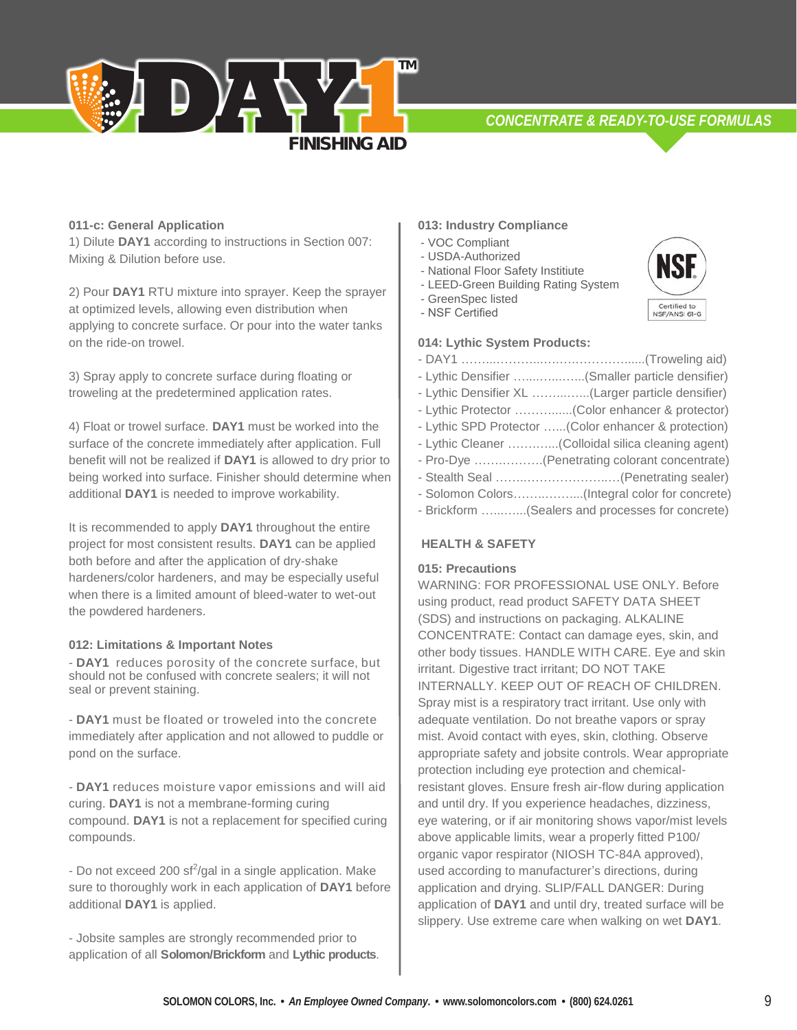*CONCENTRATE & READY-TO-USE FORMULAS*



1) Dilute **DAY1** according to instructions in Section 007: Mixing & Dilution before use.

**D**  $\overline{y}$   $\frac{1}{2}$ 

2) Pour **DAY1** RTU mixture into sprayer. Keep the sprayer at optimized levels, allowing even distribution when applying to concrete surface. Or pour into the water tanks on the ride-on trowel.

3) Spray apply to concrete surface during floating or troweling at the predetermined application rates.

4) Float or trowel surface. **DAY1** must be worked into the surface of the concrete immediately after application. Full benefit will not be realized if **DAY1** is allowed to dry prior to being worked into surface. Finisher should determine when additional **DAY1** is needed to improve workability.

It is recommended to apply **DAY1** throughout the entire project for most consistent results. **DAY1** can be applied both before and after the application of dry-shake hardeners/color hardeners, and may be especially useful when there is a limited amount of bleed-water to wet-out the powdered hardeners.

#### **012: Limitations & Important Notes**

- **DAY1** reduces porosity of the concrete surface, but should not be confused with concrete sealers; it will not seal or prevent staining.

- **DAY1** must be floated or troweled into the concrete immediately after application and not allowed to puddle or pond on the surface.

- **DAY1** reduces moisture vapor emissions and will aid curing. **DAY1** is not a membrane-forming curing compound. **DAY1** is not a replacement for specified curing compounds.

- Do not exceed 200 sf<sup>2</sup>/gal in a single application. Make sure to thoroughly work in each application of **DAY1** before additional **DAY1** is applied.

- Jobsite samples are strongly recommended prior to application of all **Solomon/Brickform** and **Lythic products**.

## **013: Industry Compliance**

- VOC Compliant - VOC Compliant

**FINISHING AID** 

**TM**

- USDA-Authorized USDA-Authorized
- National Floor Safety Institute
- LEED-Green Building Rating System GreenSpec listed - LEED-Green Building Rating System
- 
- NSF Certified

## **014: Lythic System Products:**

- DAY1 ……...………...….….…………......(Troweling aid) - Lythic Densifier …....…...…...(Smaller particle densifier) - Lythic Densifier XL ……...…...(Larger particle densifier) - Lythic Protector ………......(Color enhancer & protector) - Lythic SPD Protector …...(Color enhancer & protection) - Lythic Cleaner …….…...(Colloidal silica cleaning agent) - Pro-Dye …….……….(Penetrating colorant concentrate) - Stealth Seal ……..………………..…(Penetrating sealer) - Solomon Colors……..……....(Integral color for concrete) - Brickform …...…...(Sealers and processes for concrete)

## **HEALTH & SAFETY**

## **015: Precautions**

WARNING: FOR PROFESSIONAL USE ONLY. Before using product, read product SAFETY DATA SHEET (SDS) and instructions on packaging. ALKALINE CONCENTRATE: Contact can damage eyes, skin, and other body tissues. HANDLE WITH CARE. Eye and skin irritant. Digestive tract irritant; DO NOT TAKE INTERNALLY. KEEP OUT OF REACH OF CHILDREN. Spray mist is a respiratory tract irritant. Use only with adequate ventilation. Do not breathe vapors or spray mist. Avoid contact with eyes, skin, clothing. Observe appropriate safety and jobsite controls. Wear appropriate protection including eye protection and chemicalresistant gloves. Ensure fresh air-flow during application and until dry. If you experience headaches, dizziness, eye watering, or if air monitoring shows vapor/mist levels above applicable limits, wear a properly fitted P100/ organic vapor respirator (NIOSH TC-84A approved), used according to manufacturer's directions, during application and drying. SLIP/FALL DANGER: During application of **DAY1** and until dry, treated surface will be slippery. Use extreme care when walking on wet **DAY1**.